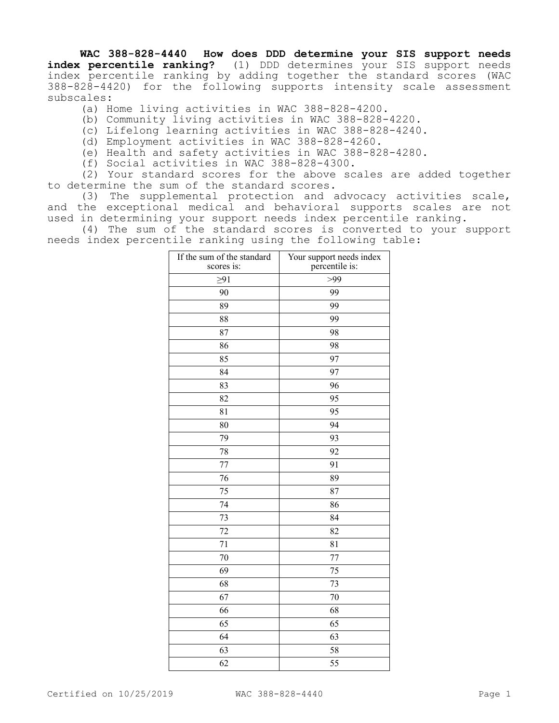## **WAC 388-828-4440 How does DDD determine your SIS support needs**

**index percentile ranking?** (1) DDD determines your SIS support needs index percentile ranking by adding together the standard scores (WAC 388-828-4420) for the following supports intensity scale assessment subscales:

- (a) Home living activities in WAC 388-828-4200.
- (b) Community living activities in WAC 388-828-4220.
- (c) Lifelong learning activities in WAC 388-828-4240.
- (d) Employment activities in WAC 388-828-4260.
- (e) Health and safety activities in WAC 388-828-4280.
- (f) Social activities in WAC 388-828-4300.

(2) Your standard scores for the above scales are added together to determine the sum of the standard scores.

(3) The supplemental protection and advocacy activities scale, and the exceptional medical and behavioral supports scales are not used in determining your support needs index percentile ranking.

(4) The sum of the standard scores is converted to your support needs index percentile ranking using the following table:

| If the sum of the standard<br>scores is: | Your support needs index<br>percentile is: |
|------------------------------------------|--------------------------------------------|
| $\geq$ 91                                | >99                                        |
| 90                                       | 99                                         |
| 89                                       | 99                                         |
| 88                                       | 99                                         |
| 87                                       | 98                                         |
| 86                                       | 98                                         |
| 85                                       | 97                                         |
| 84                                       | 97                                         |
| 83                                       | 96                                         |
| 82                                       | 95                                         |
| 81                                       | 95                                         |
| 80                                       | 94                                         |
| 79                                       | 93                                         |
| 78                                       | 92                                         |
| 77                                       | 91                                         |
| 76                                       | 89                                         |
| 75                                       | 87                                         |
| 74                                       | 86                                         |
| 73                                       | 84                                         |
| 72                                       | 82                                         |
| 71                                       | 81                                         |
| 70                                       | 77                                         |
| 69                                       | 75                                         |
| 68                                       | 73                                         |
| 67                                       | 70                                         |
| 66                                       | 68                                         |
| 65                                       | 65                                         |
| 64                                       | 63                                         |
| 63                                       | 58                                         |
| 62                                       | 55                                         |